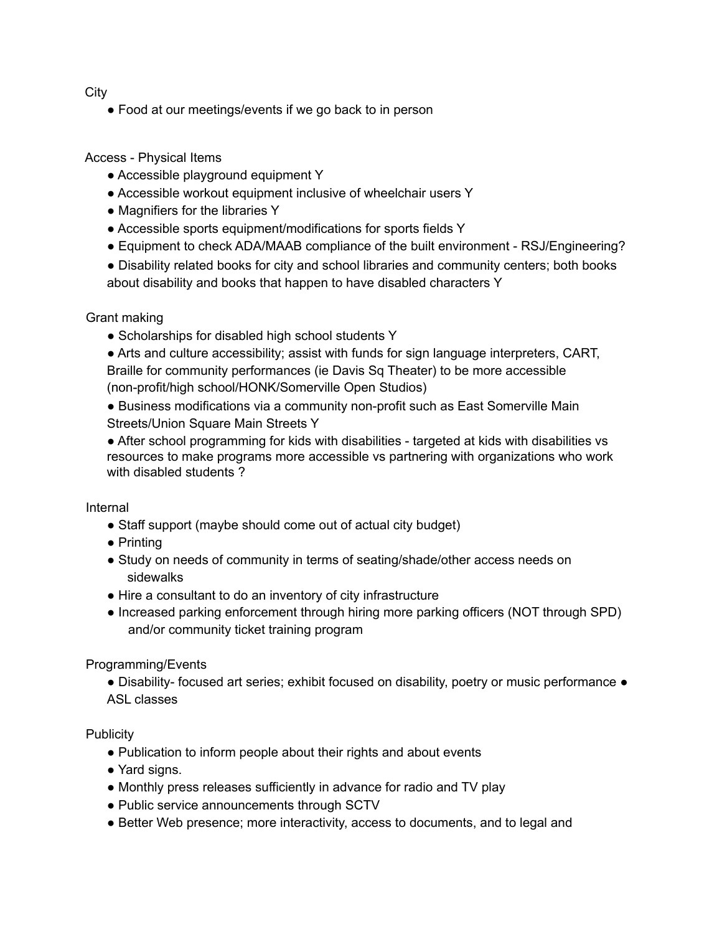**City** 

• Food at our meetings/events if we go back to in person

Access - Physical Items

- Accessible playground equipment Y
- Accessible workout equipment inclusive of wheelchair users Y
- Magnifiers for the libraries Y
- Accessible sports equipment/modifications for sports fields Y
- Equipment to check ADA/MAAB compliance of the built environment RSJ/Engineering?
- Disability related books for city and school libraries and community centers; both books about disability and books that happen to have disabled characters Y

Grant making

- Scholarships for disabled high school students Y
- Arts and culture accessibility; assist with funds for sign language interpreters, CART, Braille for community performances (ie Davis Sq Theater) to be more accessible (non-profit/high school/HONK/Somerville Open Studios)
- Business modifications via a community non-profit such as East Somerville Main Streets/Union Square Main Streets Y
- After school programming for kids with disabilities targeted at kids with disabilities vs resources to make programs more accessible vs partnering with organizations who work with disabled students ?

Internal

- Staff support (maybe should come out of actual city budget)
- Printing
- Study on needs of community in terms of seating/shade/other access needs on sidewalks
- Hire a consultant to do an inventory of city infrastructure
- Increased parking enforcement through hiring more parking officers (NOT through SPD) and/or community ticket training program

Programming/Events

● Disability- focused art series; exhibit focused on disability, poetry or music performance ● ASL classes

**Publicity** 

- Publication to inform people about their rights and about events
- Yard signs.
- Monthly press releases sufficiently in advance for radio and TV play
- Public service announcements through SCTV
- Better Web presence; more interactivity, access to documents, and to legal and